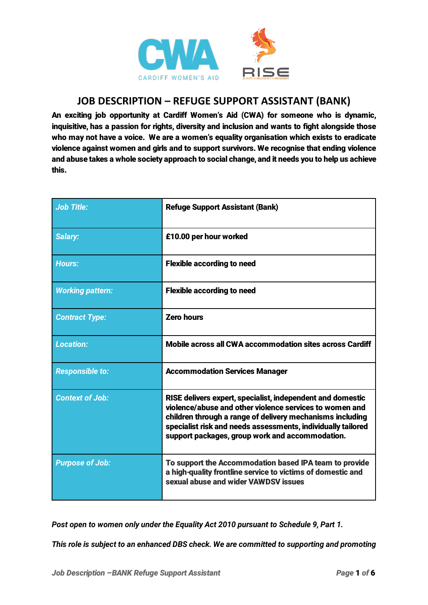

## **JOB DESCRIPTION – REFUGE SUPPORT ASSISTANT (BANK)**

An exciting job opportunity at Cardiff Women's Aid (CWA) for someone who is dynamic, inquisitive, has a passion for rights, diversity and inclusion and wants to fight alongside those who may not have a voice. We are a women's equality organisation which exists to eradicate violence against women and girls and to support survivors. We recognise that ending violence and abuse takes a whole society approach to social change, and it needs you to help us achieve this.

| <b>Job Title:</b>       | <b>Refuge Support Assistant (Bank)</b>                                                                                                                                                                                                                                                                |
|-------------------------|-------------------------------------------------------------------------------------------------------------------------------------------------------------------------------------------------------------------------------------------------------------------------------------------------------|
| <b>Salary:</b>          | £10.00 per hour worked                                                                                                                                                                                                                                                                                |
| <b>Hours:</b>           | <b>Flexible according to need</b>                                                                                                                                                                                                                                                                     |
| <b>Working pattern:</b> | <b>Flexible according to need</b>                                                                                                                                                                                                                                                                     |
| <b>Contract Type:</b>   | <b>Zero hours</b>                                                                                                                                                                                                                                                                                     |
| <b>Location:</b>        | Mobile across all CWA accommodation sites across Cardiff                                                                                                                                                                                                                                              |
| <b>Responsible to:</b>  | <b>Accommodation Services Manager</b>                                                                                                                                                                                                                                                                 |
| <b>Context of Job:</b>  | RISE delivers expert, specialist, independent and domestic<br>violence/abuse and other violence services to women and<br>children through a range of delivery mechanisms including<br>specialist risk and needs assessments, individually tailored<br>support packages, group work and accommodation. |
| <b>Purpose of Job:</b>  | To support the Accommodation based IPA team to provide<br>a high-quality frontline service to victims of domestic and<br>sexual abuse and wider VAWDSV issues                                                                                                                                         |

*Post open to women only under the Equality Act 2010 pursuant to Schedule 9, Part 1.*

*This role is subject to an enhanced DBS check. We are committed to supporting and promoting*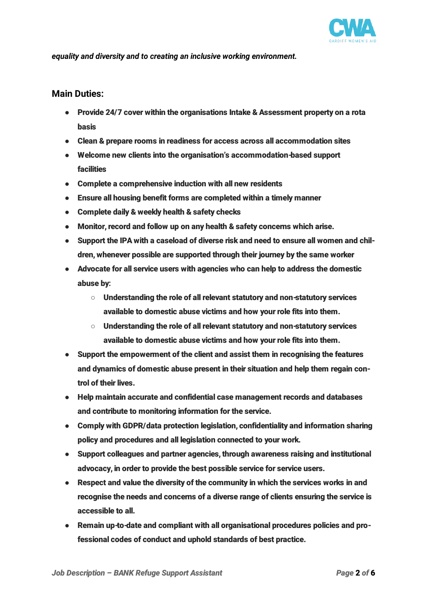

*equality and diversity and to creating an inclusive working environment.*

## Main Duties:

- Provide 24/7 cover within the organisations Intake & Assessment property on a rota basis
- Clean & prepare rooms in readiness for access across all accommodation sites
- Welcome new clients into the organisation's accommodation-based support facilities
- Complete a comprehensive induction with all new residents
- Ensure all housing benefit forms are completed within a timely manner
- Complete daily & weekly health & safety checks
- Monitor, record and follow up on any health & safety concerns which arise.
- Support the IPA with a caseload of diverse risk and need to ensure all women and children, whenever possible are supported through their journey by the same worker
- Advocate for all service users with agencies who can help to address the domestic abuse by:
	- Understanding the role of all relevant statutory and non-statutory services available to domestic abuse victims and how your role fits into them.
	- Understanding the role of all relevant statutory and non-statutory services available to domestic abuse victims and how your role fits into them.
- Support the empowerment of the client and assist them in recognising the features and dynamics of domestic abuse present in their situation and help them regain control of their lives.
- Help maintain accurate and confidential case management records and databases and contribute to monitoring information for the service.
- Comply with GDPR/data protection legislation, confidentiality and information sharing policy and procedures and all legislation connected to your work.
- Support colleagues and partner agencies, through awareness raising and institutional advocacy, in order to provide the best possible service for service users.
- Respect and value the diversity of the community in which the services works in and recognise the needs and concerns of a diverse range of clients ensuring the service is accessible to all.
- Remain up-to-date and compliant with all organisational procedures policies and professional codes of conduct and uphold standards of best practice.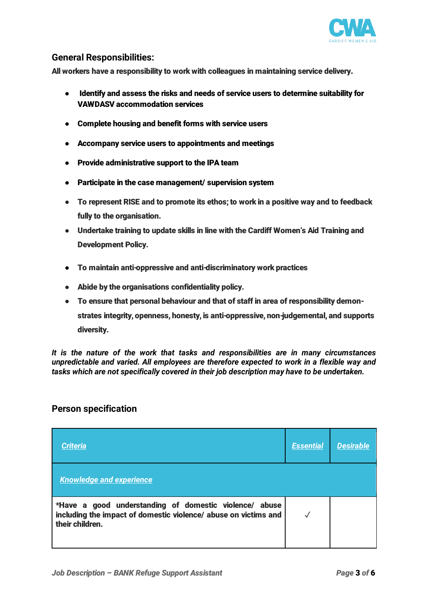

## General Responsibilities:

All workers have a responsibility to work with colleagues in maintaining service delivery.

- Identify and assess the risks and needs of service users to determine suitability for VAWDASV accommodation services
- Complete housing and benefit forms with service users
- Accompany service users to appointments and meetings
- Provide administrative support to the IPA team
- Participate in the case management/ supervision system
- To represent RISE and to promote its ethos; to work in a positive way and to feedback fully to the organisation.
- Undertake training to update skills in line with the Cardiff Women's Aid Training and Development Policy.
- To maintain anti-oppressive and anti-discriminatory work practices
- Abide by the organisations confidentiality policy.
- To ensure that personal behaviour and that of staff in area of responsibility demonstrates integrity, openness, honesty, is anti-oppressive, non-judgemental, and supports diversity.

*It is the nature of the work that tasks and responsibilities are in many circumstances unpredictable and varied. All employees are therefore expected to work in a flexible way and tasks which are not specifically covered in their job description may have to be undertaken.*

## Person specification

| <b>Criteria</b>                                                                                                                              | <b>Essential</b> | <b>Desirable</b> |
|----------------------------------------------------------------------------------------------------------------------------------------------|------------------|------------------|
| <b>Knowledge and experience</b>                                                                                                              |                  |                  |
| *Have a good understanding of domestic violence/ abuse<br>including the impact of domestic violence/ abuse on victims and<br>their children. |                  |                  |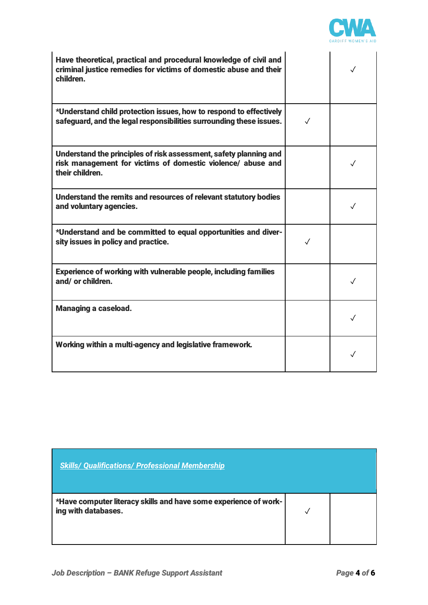

| Have theoretical, practical and procedural knowledge of civil and<br>criminal justice remedies for victims of domestic abuse and their<br>children. |              | $\checkmark$ |
|-----------------------------------------------------------------------------------------------------------------------------------------------------|--------------|--------------|
| *Understand child protection issues, how to respond to effectively<br>safeguard, and the legal responsibilities surrounding these issues.           | ✓            |              |
| Understand the principles of risk assessment, safety planning and<br>risk management for victims of domestic violence/ abuse and<br>their children. |              | $\checkmark$ |
| Understand the remits and resources of relevant statutory bodies<br>and voluntary agencies.                                                         |              | $\checkmark$ |
| *Understand and be committed to equal opportunities and diver-<br>sity issues in policy and practice.                                               | $\checkmark$ |              |
| <b>Experience of working with vulnerable people, including families</b><br>and/or children.                                                         |              | ✓            |
| <b>Managing a caseload.</b>                                                                                                                         |              |              |
| Working within a multi-agency and legislative framework.                                                                                            |              |              |

| <b>Skills/ Qualifications/ Professional Membership</b>                                  |  |
|-----------------------------------------------------------------------------------------|--|
| *Have computer literacy skills and have some experience of work-<br>ing with databases. |  |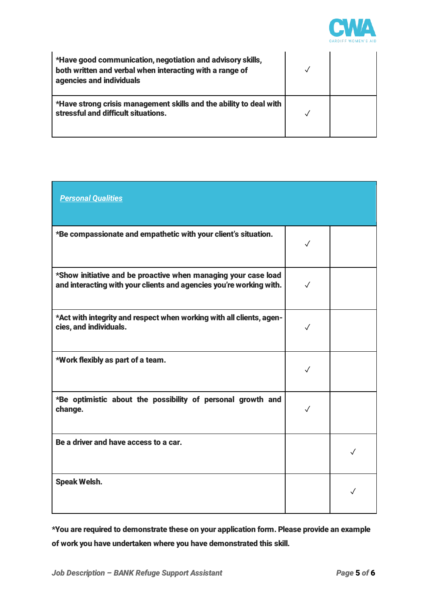

| *Have good communication, negotiation and advisory skills,<br>both written and verbal when interacting with a range of<br>agencies and individuals |  |
|----------------------------------------------------------------------------------------------------------------------------------------------------|--|
| *Have strong crisis management skills and the ability to deal with<br>stressful and difficult situations.                                          |  |

| <b>Personal Qualities</b>                                                                                                             |              |              |
|---------------------------------------------------------------------------------------------------------------------------------------|--------------|--------------|
| *Be compassionate and empathetic with your client's situation.                                                                        | $\checkmark$ |              |
| *Show initiative and be proactive when managing your case load<br>and interacting with your clients and agencies you're working with. | $\checkmark$ |              |
| *Act with integrity and respect when working with all clients, agen-<br>cies, and individuals.                                        | $\checkmark$ |              |
| *Work flexibly as part of a team.                                                                                                     | ✓            |              |
| *Be optimistic about the possibility of personal growth and<br>change.                                                                | $\checkmark$ |              |
| Be a driver and have access to a car.                                                                                                 |              | $\sqrt{}$    |
| <b>Speak Welsh.</b>                                                                                                                   |              | $\checkmark$ |

\*You are required to demonstrate these on your application form. Please provide an example of work you have undertaken where you have demonstrated this skill.